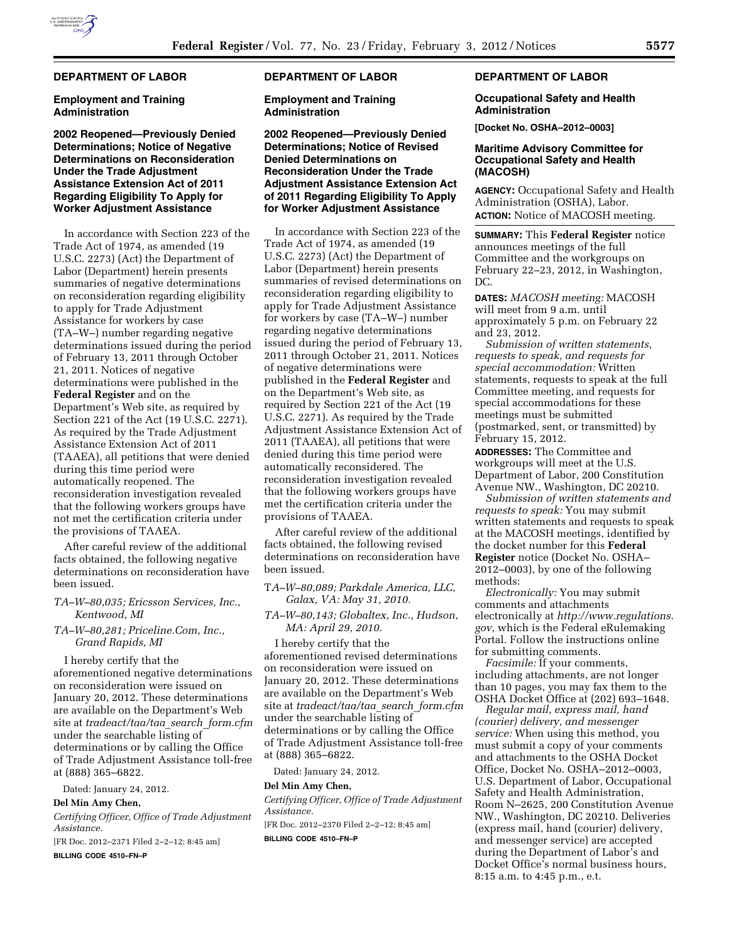# **DEPARTMENT OF LABOR**

#### **Employment and Training Administration**

## **2002 Reopened—Previously Denied Determinations; Notice of Negative Determinations on Reconsideration Under the Trade Adjustment Assistance Extension Act of 2011 Regarding Eligibility To Apply for Worker Adjustment Assistance**

In accordance with Section 223 of the Trade Act of 1974, as amended (19 U.S.C. 2273) (Act) the Department of Labor (Department) herein presents summaries of negative determinations on reconsideration regarding eligibility to apply for Trade Adjustment Assistance for workers by case (TA–W–) number regarding negative determinations issued during the period of February 13, 2011 through October 21, 2011. Notices of negative determinations were published in the **Federal Register** and on the Department's Web site, as required by Section 221 of the Act (19 U.S.C. 2271). As required by the Trade Adjustment Assistance Extension Act of 2011 (TAAEA), all petitions that were denied during this time period were automatically reopened. The reconsideration investigation revealed that the following workers groups have not met the certification criteria under the provisions of TAAEA.

After careful review of the additional facts obtained, the following negative determinations on reconsideration have been issued.

- *TA–W–80,035; Ericsson Services, Inc., Kentwood, MI*
- *TA–W–80,281; Priceline.Com, Inc., Grand Rapids, MI*

I hereby certify that the aforementioned negative determinations on reconsideration were issued on January 20, 2012. These determinations are available on the Department's Web site at *tradeact/taa/taa*\_*search*\_*form.cfm*  under the searchable listing of determinations or by calling the Office of Trade Adjustment Assistance toll-free at (888) 365–6822.

Dated: January 24, 2012.

#### **Del Min Amy Chen,**

*Certifying Officer, Office of Trade Adjustment Assistance.* 

[FR Doc. 2012–2371 Filed 2–2–12; 8:45 am]

**BILLING CODE 4510–FN–P** 

### **DEPARTMENT OF LABOR**

**Employment and Training Administration** 

**2002 Reopened—Previously Denied Determinations; Notice of Revised Denied Determinations on Reconsideration Under the Trade Adjustment Assistance Extension Act of 2011 Regarding Eligibility To Apply for Worker Adjustment Assistance** 

In accordance with Section 223 of the Trade Act of 1974, as amended (19 U.S.C. 2273) (Act) the Department of Labor (Department) herein presents summaries of revised determinations on reconsideration regarding eligibility to apply for Trade Adjustment Assistance for workers by case (TA–W–) number regarding negative determinations issued during the period of February 13, 2011 through October 21, 2011. Notices of negative determinations were published in the **Federal Register** and on the Department's Web site, as required by Section 221 of the Act (19 U.S.C. 2271). As required by the Trade Adjustment Assistance Extension Act of 2011 (TAAEA), all petitions that were denied during this time period were automatically reconsidered. The reconsideration investigation revealed that the following workers groups have met the certification criteria under the provisions of TAAEA.

After careful review of the additional facts obtained, the following revised determinations on reconsideration have been issued.

- T*A–W–80,089; Parkdale America, LLC, Galax, VA: May 31, 2010.*
- *TA–W–80,143; Globaltex, Inc., Hudson, MA: April 29, 2010.*

I hereby certify that the aforementioned revised determinations on reconsideration were issued on January 20, 2012. These determinations are available on the Department's Web site at *tradeact/taa/taa*\_*search*\_*form.cfm*  under the searchable listing of determinations or by calling the Office of Trade Adjustment Assistance toll-free at (888) 365–6822.

Dated: January 24, 2012.

#### **Del Min Amy Chen,**

*Certifying Officer, Office of Trade Adjustment Assistance.* 

[FR Doc. 2012–2370 Filed 2–2–12; 8:45 am] **BILLING CODE 4510–FN–P** 

## **DEPARTMENT OF LABOR**

### **Occupational Safety and Health Administration**

**[Docket No. OSHA–2012–0003]** 

### **Maritime Advisory Committee for Occupational Safety and Health (MACOSH)**

**AGENCY:** Occupational Safety and Health Administration (OSHA), Labor. **ACTION:** Notice of MACOSH meeting.

**SUMMARY:** This **Federal Register** notice announces meetings of the full Committee and the workgroups on February 22–23, 2012, in Washington, DC.

**DATES:** *MACOSH meeting:* MACOSH will meet from 9 a.m. until approximately 5 p.m. on February 22 and 23, 2012.

*Submission of written statements, requests to speak, and requests for special accommodation:* Written statements, requests to speak at the full Committee meeting, and requests for special accommodations for these meetings must be submitted (postmarked, sent, or transmitted) by February 15, 2012.

**ADDRESSES:** The Committee and workgroups will meet at the U.S. Department of Labor, 200 Constitution Avenue NW., Washington, DC 20210.

*Submission of written statements and requests to speak:* You may submit written statements and requests to speak at the MACOSH meetings, identified by the docket number for this **Federal Register** notice (Docket No. OSHA– 2012–0003), by one of the following methods:

*Electronically:* You may submit comments and attachments electronically at *[http://www.regulations.](http://www.regulations.gov) [gov,](http://www.regulations.gov)* which is the Federal eRulemaking Portal. Follow the instructions online for submitting comments.

*Facsimile:* If your comments, including attachments, are not longer than 10 pages, you may fax them to the OSHA Docket Office at (202) 693–1648.

*Regular mail, express mail, hand (courier) delivery, and messenger service:* When using this method, you must submit a copy of your comments and attachments to the OSHA Docket Office, Docket No. OSHA–2012–0003, U.S. Department of Labor, Occupational Safety and Health Administration, Room N–2625, 200 Constitution Avenue NW., Washington, DC 20210. Deliveries (express mail, hand (courier) delivery, and messenger service) are accepted during the Department of Labor's and Docket Office's normal business hours, 8:15 a.m. to 4:45 p.m., e.t.